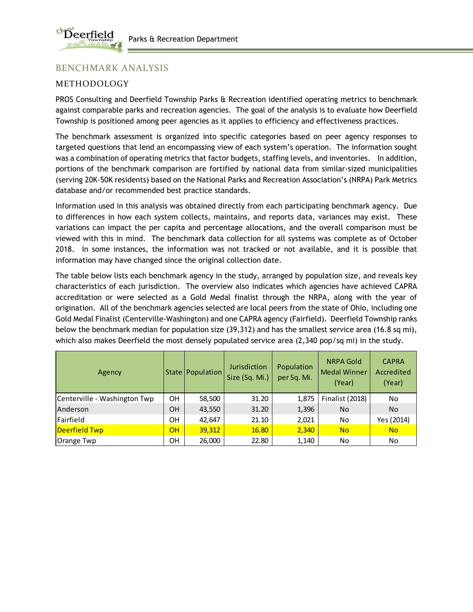

# BENCHMARK ANALYSIS

## METHODOLOGY

PROS Consulting and Deerfield Township Parks & Recreation identified operating metrics to benchmark against comparable parks and recreation agencies. The goal of the analysis is to evaluate how Deerfield Township is positioned among peer agencies as it applies to efficiency and effectiveness practices.

The benchmark assessment is organized into specific categories based on peer agency responses to targeted questions that lend an encompassing view of each system's operation. The information sought was a combination of operating metrics that factor budgets, staffing levels, and inventories. In addition, portions of the benchmark comparison are fortified by national data from similar-sized municipalities (serving 20K-50K residents) based on the National Parks and Recreation Association's (NRPA) Park Metrics database and/or recommended best practice standards.

Information used in this analysis was obtained directly from each participating benchmark agency. Due to differences in how each system collects, maintains, and reports data, variances may exist. These variations can impact the per capita and percentage allocations, and the overall comparison must be viewed with this in mind. The benchmark data collection for all systems was complete as of October 2018. In some instances, the information was not tracked or not available, and it is possible that information may have changed since the original collection date.

The table below lists each benchmark agency in the study, arranged by population size, and reveals key characteristics of each jurisdiction. The overview also indicates which agencies have achieved CAPRA accreditation or were selected as a Gold Medal finalist through the NRPA, along with the year of origination. All of the benchmark agencies selected are local peers from the state of Ohio, including one Gold Medal Finalist (Centerville-Washington) and one CAPRA agency (Fairfield). Deerfield Township ranks below the benchmark median for population size (39,312) and has the smallest service area (16.8 sq mi), which also makes Deerfield the most densely populated service area (2,340 pop/sq mi) in the study.

| Agency                       |    | State   Population | Jurisdiction<br>Size (Sq. Mi.) | Population<br>per Sq. Mi. | <b>NRPA Gold</b><br><b>Medal Winner</b><br>(Year) | <b>CAPRA</b><br>Accredited<br>(Year) |
|------------------------------|----|--------------------|--------------------------------|---------------------------|---------------------------------------------------|--------------------------------------|
| Centerville - Washington Twp | OH | 58,500             | 31.20                          | 1,875                     | <b>Finalist (2018)</b>                            | No                                   |
| Anderson                     | OΗ | 43,550             | 31.20                          | 1,396                     | No                                                | <b>No</b>                            |
| Fairfield                    | OН | 42,647             | 21.10                          | 2,021                     | No                                                | Yes (2014)                           |
| Deerfield Twp                | OH | 39,312             | 16.80                          | 2,340                     | <b>No</b>                                         | <b>No</b>                            |
| Orange Twp                   | OН | 26,000             | 22.80                          | 1,140                     | No                                                | No                                   |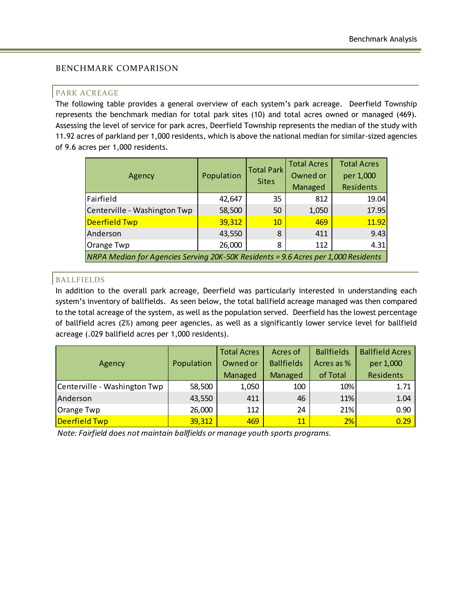### BENCHMARK COMPARISON

#### PARK ACREAGE

The following table provides a general overview of each system's park acreage. Deerfield Township represents the benchmark median for total park sites (10) and total acres owned or managed (469). Assessing the level of service for park acres, Deerfield Township represents the median of the study with 11.92 acres of parkland per 1,000 residents, which is above the national median for similar-sized agencies of 9.6 acres per 1,000 residents.

| Agency                                                                             | Population | <b>Total Park</b><br><b>Sites</b> | <b>Total Acres</b><br>Owned or<br>Managed | <b>Total Acres</b><br>per 1,000<br><b>Residents</b> |
|------------------------------------------------------------------------------------|------------|-----------------------------------|-------------------------------------------|-----------------------------------------------------|
| Fairfield                                                                          | 42,647     | 35                                | 812                                       | 19.04                                               |
| Centerville - Washington Twp                                                       | 58,500     | 50                                | 1,050                                     | 17.95                                               |
| <b>Deerfield Twp</b>                                                               | 39,312     | 10                                | 469                                       | 11.92                                               |
| Anderson                                                                           | 43,550     | 8                                 | 411                                       | 9.43                                                |
| Orange Twp                                                                         | 26,000     | 8                                 | 112                                       | 4.31                                                |
| NRPA Median for Agencies Serving 20K-50K Residents = 9.6 Acres per 1,000 Residents |            |                                   |                                           |                                                     |

## BALLFIELDS

In addition to the overall park acreage, Deerfield was particularly interested in understanding each system's inventory of ballfields. As seen below, the total ballfield acreage managed was then compared to the total acreage of the system, as well as the population served. Deerfield has the lowest percentage of ballfield acres (2%) among peer agencies, as well as a significantly lower service level for ballfield acreage (.029 ballfield acres per 1,000 residents).

|                              |            | <b>Total Acres</b> | Acres of          | <b>Ballfields</b> | <b>Ballfield Acres</b> |
|------------------------------|------------|--------------------|-------------------|-------------------|------------------------|
| Agency                       | Population | Owned or           | <b>Ballfields</b> | Acres as %        | per 1,000              |
|                              |            | Managed            | Managed           | of Total          | <b>Residents</b>       |
| Centerville - Washington Twp | 58,500     | 1,050              | 100               | 10%               | 1.71                   |
| Anderson                     | 43,550     | 411                | 46                | 11%               | 1.04                   |
| Orange Twp                   | 26,000     | 112                | 24                | 21%               | 0.90                   |
| Deerfield Twp                | 39,312     | 469                | 11                | 2%                | 0.29                   |

*Note: Fairfield does not maintain ballfields or manage youth sports programs.*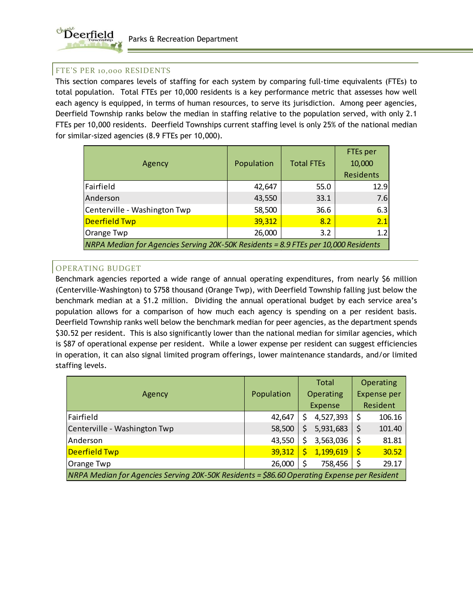

### FTE'S PER 10,000 RESIDENTS

This section compares levels of staffing for each system by comparing full-time equivalents (FTEs) to total population. Total FTEs per 10,000 residents is a key performance metric that assesses how well each agency is equipped, in terms of human resources, to serve its jurisdiction. Among peer agencies, Deerfield Township ranks below the median in staffing relative to the population served, with only 2.1 FTEs per 10,000 residents. Deerfield Townships current staffing level is only 25% of the national median for similar-sized agencies (8.9 FTEs per 10,000).

| Agency                                                                             | Population | <b>Total FTEs</b> | <b>FTEs per</b><br>10,000<br>Residents |
|------------------------------------------------------------------------------------|------------|-------------------|----------------------------------------|
| Fairfield                                                                          | 42,647     | 55.0              | 12.9                                   |
| Anderson                                                                           | 43,550     | 33.1              | 7.6                                    |
| Centerville - Washington Twp                                                       | 58,500     | 36.6              | 6.3                                    |
| Deerfield Twp                                                                      | 39,312     | 8.2               | 2.1                                    |
| Orange Twp                                                                         | 26,000     | 3.2               | 1.2                                    |
| NRPA Median for Agencies Serving 20K-50K Residents = 8.9 FTEs per 10,000 Residents |            |                   |                                        |

## OPERATING BUDGET

Benchmark agencies reported a wide range of annual operating expenditures, from nearly \$6 million (Centerville-Washington) to \$758 thousand (Orange Twp), with Deerfield Township falling just below the benchmark median at a \$1.2 million. Dividing the annual operational budget by each service area's population allows for a comparison of how much each agency is spending on a per resident basis. Deerfield Township ranks well below the benchmark median for peer agencies, as the department spends \$30.52 per resident. This is also significantly lower than the national median for similar agencies, which is \$87 of operational expense per resident. While a lower expense per resident can suggest efficiencies in operation, it can also signal limited program offerings, lower maintenance standards, and/or limited staffing levels.

|                                                                                             |            |    | Total     | Operating   |          |
|---------------------------------------------------------------------------------------------|------------|----|-----------|-------------|----------|
| Agency                                                                                      | Population |    | Operating | Expense per |          |
|                                                                                             |            |    | Expense   |             | Resident |
| Fairfield                                                                                   | 42,647     | S  | 4,527,393 | \$          | 106.16   |
| Centerville - Washington Twp                                                                | 58,500     | S  | 5,931,683 | $\zeta$     | 101.40   |
| Anderson                                                                                    | 43,550     | \$ | 3,563,036 | \$          | 81.81    |
| Deerfield Twp                                                                               | 39,312     | Ś  | 1,199,619 | <u>'\$</u>  | 30.52    |
| Orange Twp                                                                                  | 26,000     | \$ | 758,456   | -\$         | 29.17    |
| NRPA Median for Agencies Serving 20K-50K Residents = \$86.60 Operating Expense per Resident |            |    |           |             |          |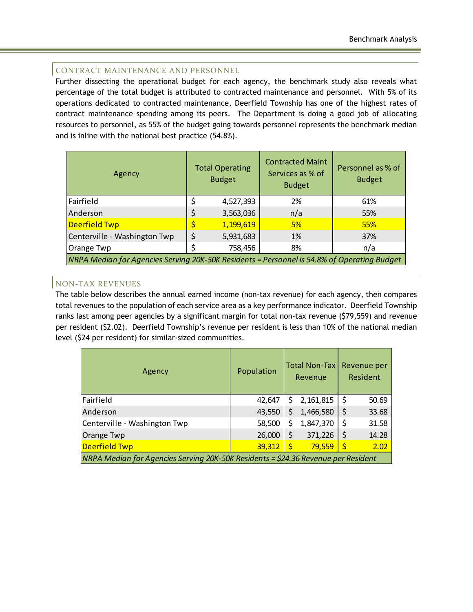### CONTRACT MAINTENANCE AND PERSONNEL

Further dissecting the operational budget for each agency, the benchmark study also reveals what percentage of the total budget is attributed to contracted maintenance and personnel. With 5% of its operations dedicated to contracted maintenance, Deerfield Township has one of the highest rates of contract maintenance spending among its peers. The Department is doing a good job of allocating resources to personnel, as 55% of the budget going towards personnel represents the benchmark median and is inline with the national best practice (54.8%).

| Agency                       | <b>Total Operating</b><br><b>Budget</b>                                                     |           | <b>Contracted Maint</b><br>Services as % of<br><b>Budget</b> | Personnel as % of<br><b>Budget</b> |  |  |  |  |  |
|------------------------------|---------------------------------------------------------------------------------------------|-----------|--------------------------------------------------------------|------------------------------------|--|--|--|--|--|
| Fairfield                    |                                                                                             | 4,527,393 | 2%                                                           | 61%                                |  |  |  |  |  |
| Anderson                     | \$                                                                                          | 3,563,036 | n/a                                                          | 55%                                |  |  |  |  |  |
| Deerfield Twp                |                                                                                             | 1,199,619 | 5%                                                           | 55%                                |  |  |  |  |  |
| Centerville - Washington Twp | \$                                                                                          | 5,931,683 | 1%                                                           | 37%                                |  |  |  |  |  |
| Orange Twp                   |                                                                                             | 758,456   | 8%                                                           | n/a                                |  |  |  |  |  |
|                              | NRPA Median for Agencies Serving 20K-50K Residents = Personnel is 54.8% of Operating Budget |           |                                                              |                                    |  |  |  |  |  |

## NON-TAX REVENUES

The table below describes the annual earned income (non-tax revenue) for each agency, then compares total revenues to the population of each service area as a key performance indicator. Deerfield Township ranks last among peer agencies by a significant margin for total non-tax revenue (\$79,559) and revenue per resident (\$2.02). Deerfield Township's revenue per resident is less than 10% of the national median level (\$24 per resident) for similar-sized communities.

| Agency                                                                            | Population | <b>Total Non-Tax</b><br>Revenue |           | Revenue per<br>Resident |       |
|-----------------------------------------------------------------------------------|------------|---------------------------------|-----------|-------------------------|-------|
| Fairfield                                                                         | 42,647     | S                               | 2,161,815 | Ş                       | 50.69 |
| Anderson                                                                          | 43,550     | \$                              | 1,466,580 | \$                      | 33.68 |
| Centerville - Washington Twp                                                      | 58,500     | \$                              | 1,847,370 |                         | 31.58 |
| Orange Twp                                                                        | 26,000     | \$                              | 371,226   |                         | 14.28 |
| <b>Deerfield Twp</b>                                                              | 39,312     | $\mathsf{S}$                    | 79,559    | \$                      | 2.02  |
| NRPA Median for Agencies Serving 20K-50K Residents = \$24.36 Revenue per Resident |            |                                 |           |                         |       |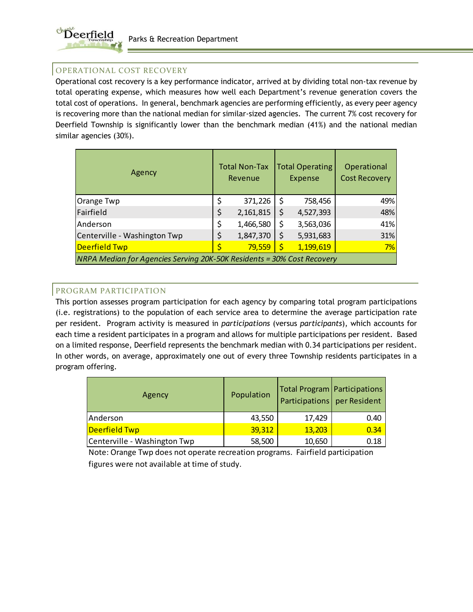

## OPERATIONAL COST RECOVERY

Operational cost recovery is a key performance indicator, arrived at by dividing total non-tax revenue by total operating expense, which measures how well each Department's revenue generation covers the total cost of operations. In general, benchmark agencies are performing efficiently, as every peer agency is recovering more than the national median for similar-sized agencies. The current 7% cost recovery for Deerfield Township is significantly lower than the benchmark median (41%) and the national median similar agencies (30%).

| Agency                                                                 | <b>Total Non-Tax</b><br>Revenue |           |         | <b>Total Operating</b><br>Expense | Operational<br><b>Cost Recovery</b> |  |
|------------------------------------------------------------------------|---------------------------------|-----------|---------|-----------------------------------|-------------------------------------|--|
| Orange Twp                                                             | \$                              | 371,226   | \$      | 758,456                           | 49%                                 |  |
| Fairfield                                                              | \$                              | 2,161,815 | \$      | 4,527,393                         | 48%                                 |  |
| Anderson                                                               | \$                              | 1,466,580 | \$      | 3,563,036                         | 41%                                 |  |
| Centerville - Washington Twp                                           |                                 | 1,847,370 | \$      | 5,931,683                         | 31%                                 |  |
| Deerfield Twp                                                          |                                 | 79,559    | $\zeta$ | 1,199,619                         | 7%                                  |  |
| NRPA Median for Agencies Serving 20K-50K Residents = 30% Cost Recovery |                                 |           |         |                                   |                                     |  |

## PROGRAM PARTICIPATION

This portion assesses program participation for each agency by comparing total program participations (i.e. registrations) to the population of each service area to determine the average participation rate per resident. Program activity is measured in *participations* (versus *participants*), which accounts for each time a resident participates in a program and allows for multiple participations per resident. Based on a limited response, Deerfield represents the benchmark median with 0.34 participations per resident. In other words, on average, approximately one out of every three Township residents participates in a program offering.

| Agency                       | Population | Participations   per Resident | Total Program   Participations |
|------------------------------|------------|-------------------------------|--------------------------------|
| Anderson                     | 43,550     | 17,429                        | 0.40                           |
| Deerfield Twp                | 39,312     | 13,203                        | 0.34                           |
| Centerville - Washington Twp | 58,500     | 10,650                        | 0.18                           |

Note: Orange Twp does not operate recreation programs. Fairfield participation figures were not available at time of study.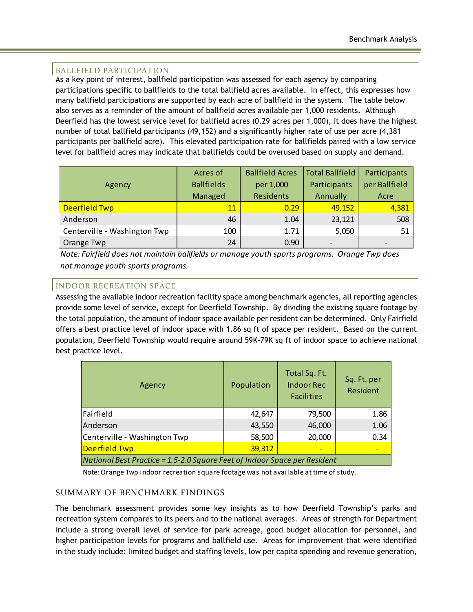## BALLFIELD PARTICIPATION

As a key point of interest, ballfield participation was assessed for each agency by comparing participations specific to ballfields to the total ballfield acres available. In effect, this expresses how many ballfield participations are supported by each acre of ballfield in the system. The table below also serves as a reminder of the amount of ballfield acres available per 1,000 residents. Although Deerfield has the lowest service level for ballfield acres (0.29 acres per 1,000), it does have the highest number of total ballfield participants (49,152) and a significantly higher rate of use per acre (4,381 participants per ballfield acre). This elevated participation rate for ballfields paired with a low service level for ballfield acres may indicate that ballfields could be overused based on supply and demand.

|                              | Acres of          | <b>Ballfield Acres</b> | <b>Total Ballfield</b> | Participants  |
|------------------------------|-------------------|------------------------|------------------------|---------------|
| Agency                       | <b>Ballfields</b> | per 1,000              | Participants           | per Ballfield |
|                              | Managed           | Residents              | Annually               | Acre          |
| <b>Deerfield Twp</b>         | 11                | 0.29                   | 49,152                 | 4,381         |
| Anderson                     | 46                | 1.04                   | 23,121                 | 508           |
| Centerville - Washington Twp | 100               | 1.71                   | 5,050                  | 51            |
| Orange Twp                   | 24                | 0.90                   |                        |               |

*Note: Fairfield does not maintain ballfields or manage youth sports programs. Orange Twp does not manage youth sports programs.*

## INDOOR RECREATION SPACE

Assessing the available indoor recreation facility space among benchmark agencies, all reporting agencies provide some level of service, except for Deerfield Township. By dividing the existing square footage by the total population, the amount of indoor space available per resident can be determined. Only Fairfield offers a best practice level of indoor space with 1.86 sq ft of space per resident. Based on the current population, Deerfield Township would require around 59K-79K sq ft of indoor space to achieve national best practice level.

| Agency                                                                    | Population | Total Sq. Ft.<br><b>Indoor Rec</b><br><b>Facilities</b> | Sq. Ft. per<br>Resident |  |  |  |
|---------------------------------------------------------------------------|------------|---------------------------------------------------------|-------------------------|--|--|--|
| Fairfield                                                                 | 42,647     | 79,500                                                  | 1.86                    |  |  |  |
| Anderson                                                                  | 43,550     | 46,000                                                  | 1.06                    |  |  |  |
| Centerville - Washington Twp                                              | 58,500     | 20,000                                                  | 0.34                    |  |  |  |
| <b>Deerfield Twp</b>                                                      | 39,312     |                                                         |                         |  |  |  |
| National Best Practice = 1.5-2.0 Square Feet of Indoor Space per Resident |            |                                                         |                         |  |  |  |

Note: Orange Twp indoor recreation square footage was not available at time of study.

### SUMMARY OF BENCHMARK FINDINGS

The benchmark assessment provides some key insights as to how Deerfield Township's parks and recreation system compares to its peers and to the national averages. Areas of strength for Department include a strong overall level of service for park acreage, good budget allocation for personnel, and higher participation levels for programs and ballfield use. Areas for improvement that were identified in the study include: limited budget and staffing levels, low per capita spending and revenue generation,